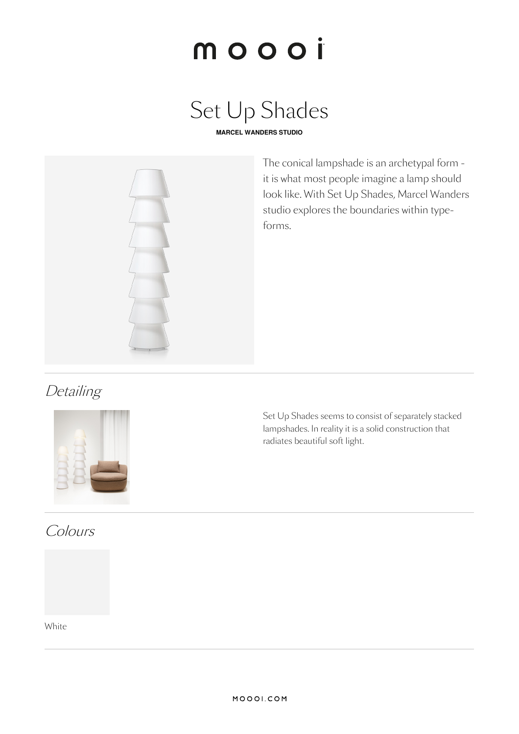# moooi

# Set Up Shades

**MARCEL WANDERS STUDIO**



The conical lampshade is an archetypal form it is what most people imagine a lamp should look like. With Set Up Shades, Marcel Wanders studio explores the boundaries within typeforms.

# **Detailing**



Colours

Set Up Shades seems to consist of separately stacked lampshades. In reality it is a solid construction that radiates beautiful soft light.

White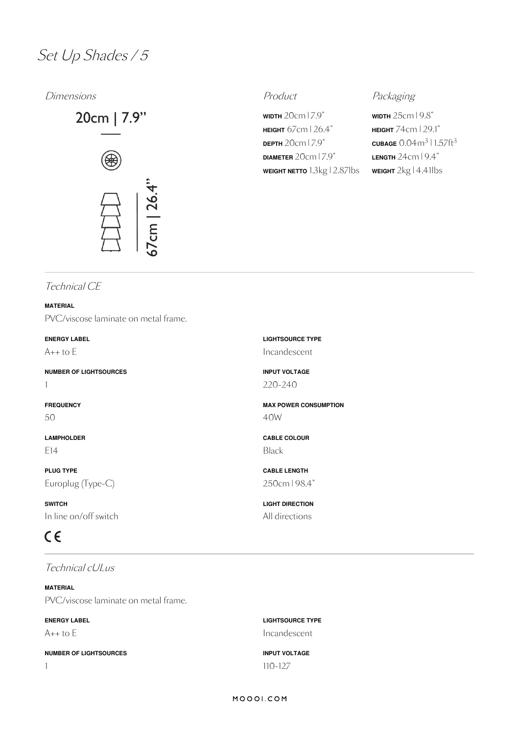## Set Up Shades / <sup>5</sup>

Dimensions **Product** Product **Product** Packaging



**WIDTH** 20cm | 7.9" **HEIGHT** 67cm | 26.4" **DEPTH** 20cm | 7.9" **DIAMETER** 20cm | 7.9" **WEIGHT NETTO** 1.3kg | 2.87lbs

**WIDTH** 25cm | 9.8" **HEIGHT** 74cm |29.1"  $\frac{\text{CUBAGE}}{0.04}$ m $\frac{3}{1.57}$ ft $\frac{3}{3}$ **LENGTH** 24cm | 9.4" **WEIGHT** 2kg | 4.41lbs

### Technical CE

**MATERIAL** PVC/viscose laminate on metal frame.

**ENERGY LABEL** A++ to E

**NUMBER OF LIGHTSOURCES** 1

**FREQUENCY** 50

**LAMPHOLDER** E14

**PLUG TYPE** Europlug (Type-C)

**SWITCH** In line on/off switch

# $C \in$

Technical cULus

**MATERIAL** PVC/viscose laminate on metal frame.

**ENERGY LABEL** A++ to E

**NUMBER OF LIGHTSOURCES** 1

Incandescent **INPUT VOLTAGE** 220-240 **MAX POWER CONSUMPTION**

**LIGHTSOURCE TYPE**

**CABLE COLOUR** Black

40W

**CABLE LENGTH** 250cm | 98.4"

**LIGHT DIRECTION** All directions

**LIGHTSOURCE TYPE** Incandescent

**INPUT VOLTAGE** 110-127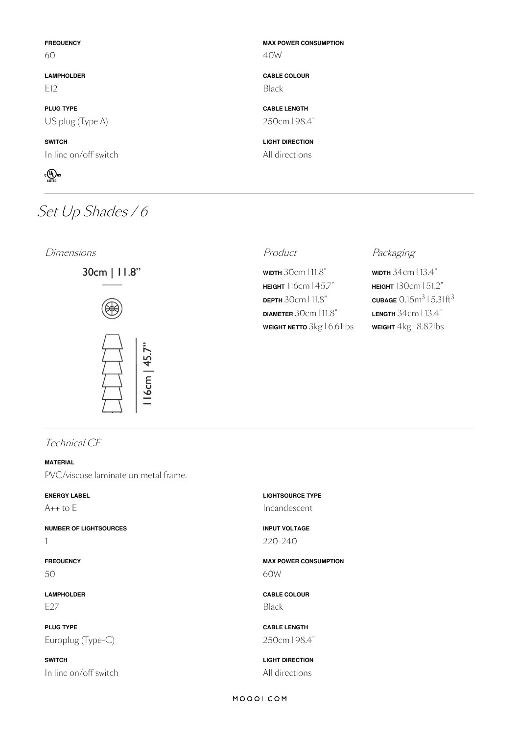#### **FREQUENCY**

60

**LAMPHOLDER**  $F12$ 

**PLUG TYPE** US plug (Type A)

**SWITCH** In line on/off switch



# Set Up Shades / 6

Dimensions **Dimensions Product** Product **Packaging** 





## **CABLE COLOUR**

**MAX POWER CONSUMPTION**

Black

40W

**CABLE LENGTH** 250cm | 98.4"

**LIGHT DIRECTION** All directions

**WIDTH** 30cm | 11.8" **HEIGHT** 116cm | 45.7" **DEPTH** 30cm | 11.8" **DIAMETER** 30cm | 11.8" **WEIGHT NETTO** 3kg | 6.61lbs

**WIDTH** 34cm | 13.4" **HEIGHT** 130cm | 51.2"  $\frac{\text{CUBAGE}}{0.15}$ m $^3$  | 5.31ft $^3$ **LENGTH** 34cm | 13.4" **WEIGHT** 4kg | 8.82lbs

Technical CE

#### **MATERIAL**

PVC/viscose laminate on metal frame.

### **ENERGY LABEL**

 $A++$  to  $E$ 

**NUMBER OF LIGHTSOURCES**

1

**FREQUENCY** 50

**LAMPHOLDER** E27

**PLUG TYPE** Europlug (Type-C)

**SWITCH** In line on/off switch **LIGHTSOURCE TYPE** Incandescent

**INPUT VOLTAGE** 220-240

**MAX POWER CONSUMPTION** 60W

**CABLE COLOUR** Black

**CABLE LENGTH** 250cm | 98.4"

**LIGHT DIRECTION** All directions

#### MOOOI.COM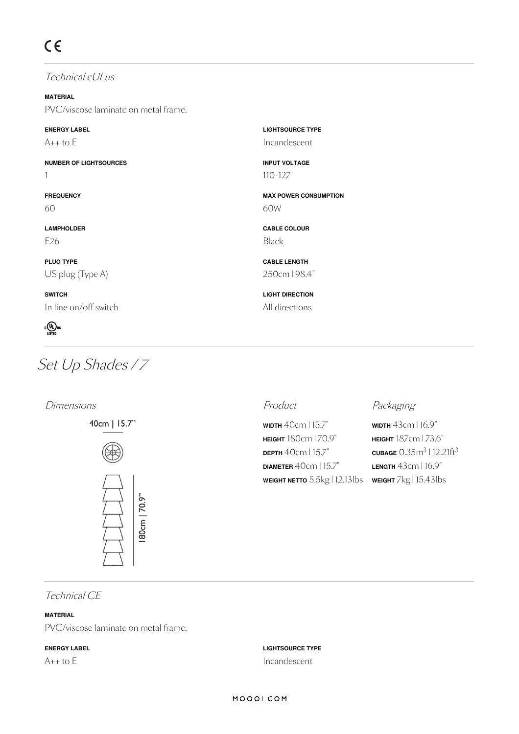Technical cULus

**MATERIAL** PVC/viscose laminate on metal frame.

### **ENERGY LABEL**

 $A++$  to  $E$ 

**NUMBER OF LIGHTSOURCES** 1

**FREQUENCY** 60

**LAMPHOLDER** E26

**PLUG TYPE** US plug (Type A)

**SWITCH** In line on/off switch



# Set Up Shades / 7

### Dimensions **Product** Product **Product** Packaging





**LIGHTSOURCE TYPE** Incandescent

**INPUT VOLTAGE** 110-127

**CABLE COLOUR**

**CABLE LENGTH** 250cm | 98.4"

**LIGHT DIRECTION** All directions

60W

Black

**MAX POWER CONSUMPTION**

**WIDTH** 40cm | 15.7" **HEIGHT** 180cm | 70.9" **DEPTH** 40cm | 15.7" **DIAMETER** 40cm | 15.7" **WEIGHT NETTO** 5.5kg | 12.13lbs **WEIGHT** 7kg | 15.43lbs

**WIDTH** 43cm | 16.9" **HEIGHT** 187cm |73.6"  $\frac{\text{CUBAGE}}{0.35}$ m $\frac{3}{12.21}$ ft $\frac{3}{3}$ **LENGTH** 43cm | 16.9"

Technical CE

### **MATERIAL**

PVC/viscose laminate on metal frame.

### **ENERGY LABEL**

 $A++$  to  $E$ 

**LIGHTSOURCE TYPE** Incandescent